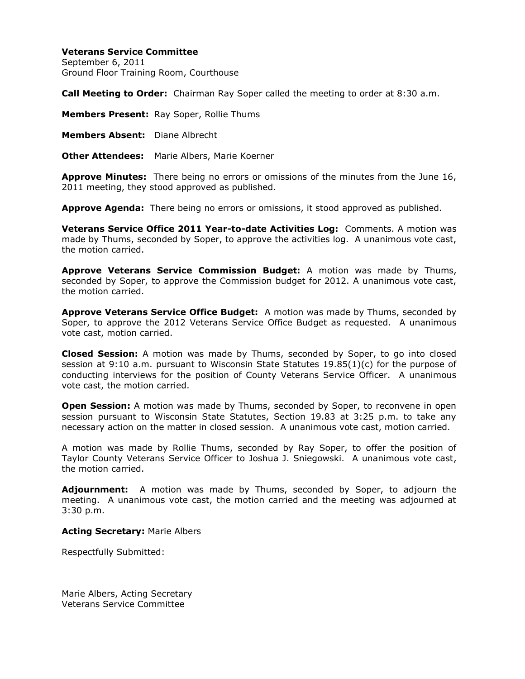## **Veterans Service Committee**

September 6, 2011 Ground Floor Training Room, Courthouse

**Call Meeting to Order:** Chairman Ray Soper called the meeting to order at 8:30 a.m.

**Members Present:** Ray Soper, Rollie Thums

**Members Absent:** Diane Albrecht

**Other Attendees:** Marie Albers, Marie Koerner

**Approve Minutes:** There being no errors or omissions of the minutes from the June 16, 2011 meeting, they stood approved as published.

**Approve Agenda:** There being no errors or omissions, it stood approved as published.

**Veterans Service Office 2011 Year-to-date Activities Log:** Comments. A motion was made by Thums, seconded by Soper, to approve the activities log. A unanimous vote cast, the motion carried.

**Approve Veterans Service Commission Budget:** A motion was made by Thums, seconded by Soper, to approve the Commission budget for 2012. A unanimous vote cast, the motion carried.

**Approve Veterans Service Office Budget:** A motion was made by Thums, seconded by Soper, to approve the 2012 Veterans Service Office Budget as requested. A unanimous vote cast, motion carried.

**Closed Session:** A motion was made by Thums, seconded by Soper, to go into closed session at 9:10 a.m. pursuant to Wisconsin State Statutes 19.85(1)(c) for the purpose of conducting interviews for the position of County Veterans Service Officer. A unanimous vote cast, the motion carried.

**Open Session:** A motion was made by Thums, seconded by Soper, to reconvene in open session pursuant to Wisconsin State Statutes, Section 19.83 at 3:25 p.m. to take any necessary action on the matter in closed session. A unanimous vote cast, motion carried.

A motion was made by Rollie Thums, seconded by Ray Soper, to offer the position of Taylor County Veterans Service Officer to Joshua J. Sniegowski. A unanimous vote cast, the motion carried.

**Adjournment:** A motion was made by Thums, seconded by Soper, to adjourn the meeting. A unanimous vote cast, the motion carried and the meeting was adjourned at 3:30 p.m.

### **Acting Secretary:** Marie Albers

Respectfully Submitted:

Marie Albers, Acting Secretary Veterans Service Committee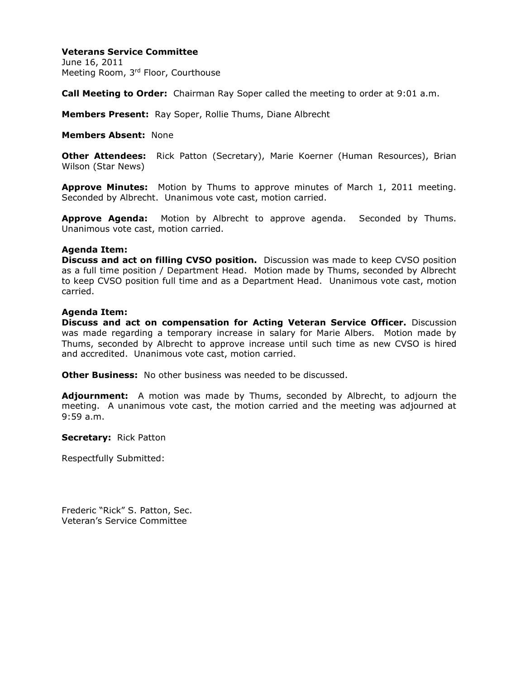# **Veterans Service Committee**

June 16, 2011 Meeting Room, 3rd Floor, Courthouse

**Call Meeting to Order:** Chairman Ray Soper called the meeting to order at 9:01 a.m.

**Members Present:** Ray Soper, Rollie Thums, Diane Albrecht

**Members Absent:** None

**Other Attendees:** Rick Patton (Secretary), Marie Koerner (Human Resources), Brian Wilson (Star News)

**Approve Minutes:** Motion by Thums to approve minutes of March 1, 2011 meeting. Seconded by Albrecht. Unanimous vote cast, motion carried.

**Approve Agenda:** Motion by Albrecht to approve agenda. Seconded by Thums. Unanimous vote cast, motion carried.

#### **Agenda Item:**

**Discuss and act on filling CVSO position.** Discussion was made to keep CVSO position as a full time position / Department Head. Motion made by Thums, seconded by Albrecht to keep CVSO position full time and as a Department Head. Unanimous vote cast, motion carried.

### **Agenda Item:**

**Discuss and act on compensation for Acting Veteran Service Officer.** Discussion was made regarding a temporary increase in salary for Marie Albers. Motion made by Thums, seconded by Albrecht to approve increase until such time as new CVSO is hired and accredited. Unanimous vote cast, motion carried.

**Other Business:** No other business was needed to be discussed.

**Adjournment:** A motion was made by Thums, seconded by Albrecht, to adjourn the meeting. A unanimous vote cast, the motion carried and the meeting was adjourned at 9:59 a.m.

**Secretary:** Rick Patton

Respectfully Submitted:

Frederic "Rick" S. Patton, Sec. Veteran's Service Committee